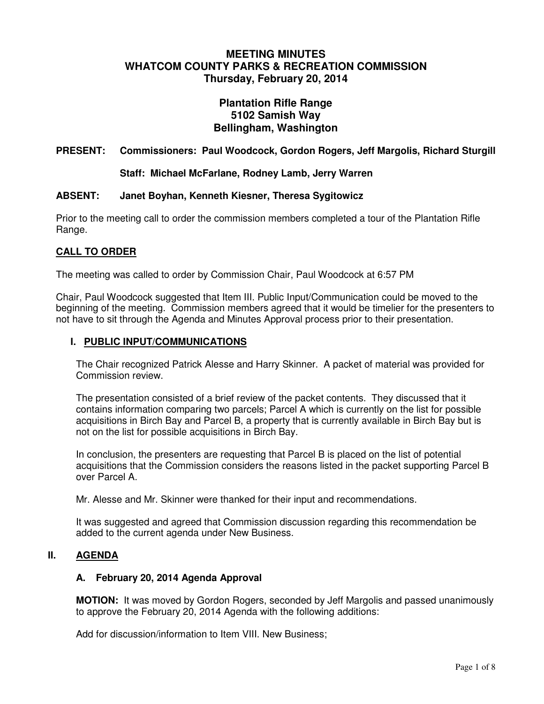# **MEETING MINUTES WHATCOM COUNTY PARKS & RECREATION COMMISSION Thursday, February 20, 2014**

# **Plantation Rifle Range 5102 Samish Way Bellingham, Washington**

### **PRESENT: Commissioners: Paul Woodcock, Gordon Rogers, Jeff Margolis, Richard Sturgill**

## **Staff: Michael McFarlane, Rodney Lamb, Jerry Warren**

### **ABSENT: Janet Boyhan, Kenneth Kiesner, Theresa Sygitowicz**

Prior to the meeting call to order the commission members completed a tour of the Plantation Rifle Range.

### **CALL TO ORDER**

The meeting was called to order by Commission Chair, Paul Woodcock at 6:57 PM

Chair, Paul Woodcock suggested that Item III. Public Input/Communication could be moved to the beginning of the meeting. Commission members agreed that it would be timelier for the presenters to not have to sit through the Agenda and Minutes Approval process prior to their presentation.

#### **I. PUBLIC INPUT/COMMUNICATIONS**

The Chair recognized Patrick Alesse and Harry Skinner. A packet of material was provided for Commission review.

The presentation consisted of a brief review of the packet contents. They discussed that it contains information comparing two parcels; Parcel A which is currently on the list for possible acquisitions in Birch Bay and Parcel B, a property that is currently available in Birch Bay but is not on the list for possible acquisitions in Birch Bay.

In conclusion, the presenters are requesting that Parcel B is placed on the list of potential acquisitions that the Commission considers the reasons listed in the packet supporting Parcel B over Parcel A.

Mr. Alesse and Mr. Skinner were thanked for their input and recommendations.

It was suggested and agreed that Commission discussion regarding this recommendation be added to the current agenda under New Business.

#### **II. AGENDA**

#### **A. February 20, 2014 Agenda Approval**

**MOTION:** It was moved by Gordon Rogers, seconded by Jeff Margolis and passed unanimously to approve the February 20, 2014 Agenda with the following additions:

Add for discussion/information to Item VIII. New Business: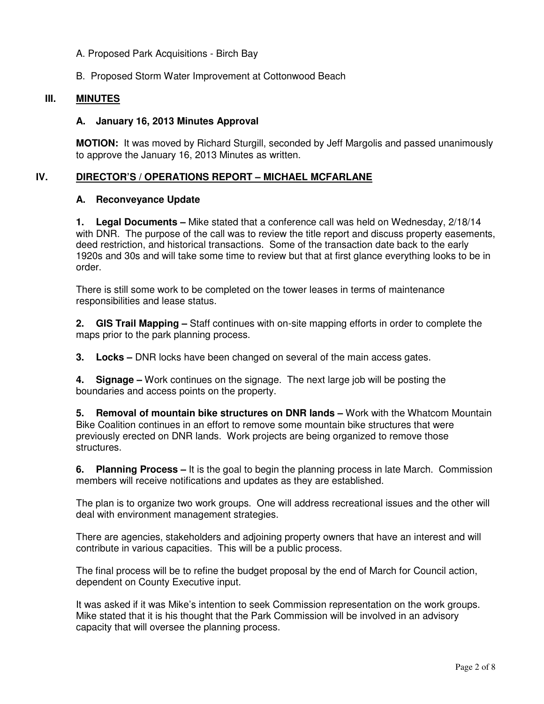- A. Proposed Park Acquisitions Birch Bay
- B. Proposed Storm Water Improvement at Cottonwood Beach

## **III. MINUTES**

## **A. January 16, 2013 Minutes Approval**

**MOTION:** It was moved by Richard Sturgill, seconded by Jeff Margolis and passed unanimously to approve the January 16, 2013 Minutes as written.

## **IV. DIRECTOR'S / OPERATIONS REPORT – MICHAEL MCFARLANE**

### **A. Reconveyance Update**

**1. Legal Documents –** Mike stated that a conference call was held on Wednesday, 2/18/14 with DNR. The purpose of the call was to review the title report and discuss property easements, deed restriction, and historical transactions. Some of the transaction date back to the early 1920s and 30s and will take some time to review but that at first glance everything looks to be in order.

There is still some work to be completed on the tower leases in terms of maintenance responsibilities and lease status.

**2. GIS Trail Mapping –** Staff continues with on-site mapping efforts in order to complete the maps prior to the park planning process.

**3. Locks –** DNR locks have been changed on several of the main access gates.

**4. Signage –** Work continues on the signage. The next large job will be posting the boundaries and access points on the property.

**5. Removal of mountain bike structures on DNR lands –** Work with the Whatcom Mountain Bike Coalition continues in an effort to remove some mountain bike structures that were previously erected on DNR lands. Work projects are being organized to remove those structures.

**6. Planning Process –** It is the goal to begin the planning process in late March. Commission members will receive notifications and updates as they are established.

The plan is to organize two work groups. One will address recreational issues and the other will deal with environment management strategies.

There are agencies, stakeholders and adjoining property owners that have an interest and will contribute in various capacities. This will be a public process.

The final process will be to refine the budget proposal by the end of March for Council action, dependent on County Executive input.

It was asked if it was Mike's intention to seek Commission representation on the work groups. Mike stated that it is his thought that the Park Commission will be involved in an advisory capacity that will oversee the planning process.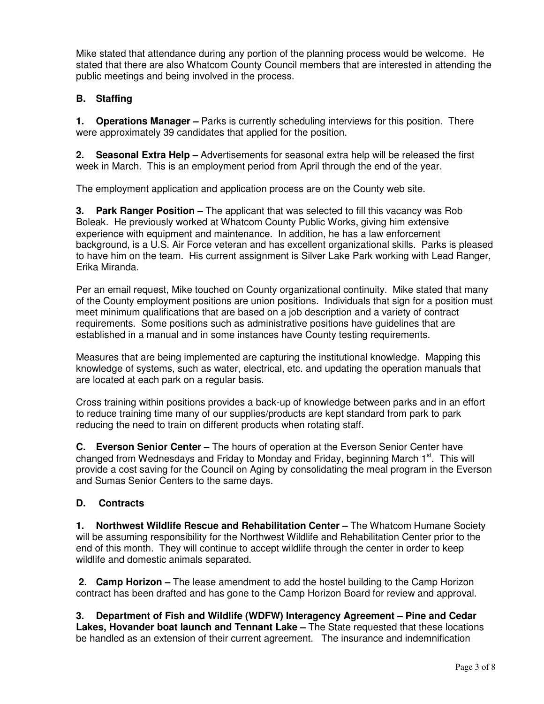Mike stated that attendance during any portion of the planning process would be welcome. He stated that there are also Whatcom County Council members that are interested in attending the public meetings and being involved in the process.

# **B. Staffing**

**1. Operations Manager –** Parks is currently scheduling interviews for this position. There were approximately 39 candidates that applied for the position.

**2. Seasonal Extra Help –** Advertisements for seasonal extra help will be released the first week in March. This is an employment period from April through the end of the year.

The employment application and application process are on the County web site.

**3. Park Ranger Position –** The applicant that was selected to fill this vacancy was Rob Boleak. He previously worked at Whatcom County Public Works, giving him extensive experience with equipment and maintenance. In addition, he has a law enforcement background, is a U.S. Air Force veteran and has excellent organizational skills. Parks is pleased to have him on the team. His current assignment is Silver Lake Park working with Lead Ranger, Erika Miranda.

Per an email request, Mike touched on County organizational continuity. Mike stated that many of the County employment positions are union positions. Individuals that sign for a position must meet minimum qualifications that are based on a job description and a variety of contract requirements. Some positions such as administrative positions have guidelines that are established in a manual and in some instances have County testing requirements.

Measures that are being implemented are capturing the institutional knowledge. Mapping this knowledge of systems, such as water, electrical, etc. and updating the operation manuals that are located at each park on a regular basis.

Cross training within positions provides a back-up of knowledge between parks and in an effort to reduce training time many of our supplies/products are kept standard from park to park reducing the need to train on different products when rotating staff.

**C. Everson Senior Center –** The hours of operation at the Everson Senior Center have changed from Wednesdays and Friday to Monday and Friday, beginning March  $1<sup>st</sup>$ . This will provide a cost saving for the Council on Aging by consolidating the meal program in the Everson and Sumas Senior Centers to the same days.

# **D. Contracts**

**1. Northwest Wildlife Rescue and Rehabilitation Center –** The Whatcom Humane Society will be assuming responsibility for the Northwest Wildlife and Rehabilitation Center prior to the end of this month. They will continue to accept wildlife through the center in order to keep wildlife and domestic animals separated.

**2. Camp Horizon –** The lease amendment to add the hostel building to the Camp Horizon contract has been drafted and has gone to the Camp Horizon Board for review and approval.

**3. Department of Fish and Wildlife (WDFW) Interagency Agreement – Pine and Cedar Lakes, Hovander boat launch and Tennant Lake –** The State requested that these locations be handled as an extension of their current agreement. The insurance and indemnification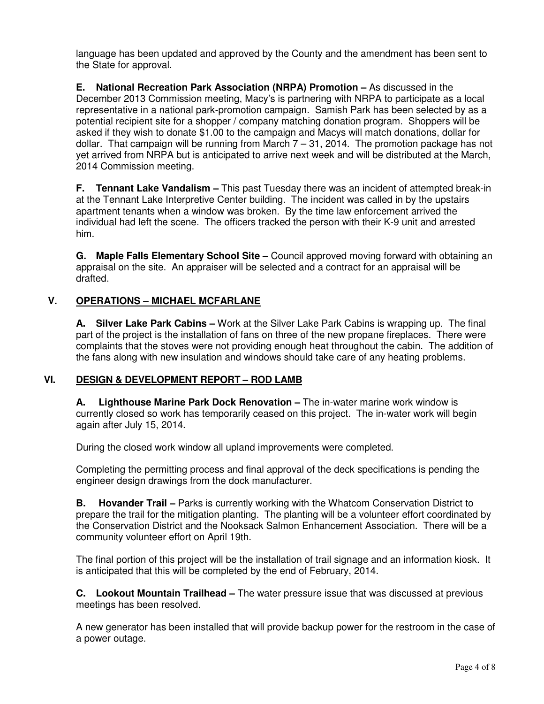language has been updated and approved by the County and the amendment has been sent to the State for approval.

**E. National Recreation Park Association (NRPA) Promotion –** As discussed in the December 2013 Commission meeting, Macy's is partnering with NRPA to participate as a local representative in a national park-promotion campaign. Samish Park has been selected by as a potential recipient site for a shopper / company matching donation program. Shoppers will be asked if they wish to donate \$1.00 to the campaign and Macys will match donations, dollar for dollar. That campaign will be running from March 7 – 31, 2014. The promotion package has not yet arrived from NRPA but is anticipated to arrive next week and will be distributed at the March, 2014 Commission meeting.

**F. Tennant Lake Vandalism –** This past Tuesday there was an incident of attempted break-in at the Tennant Lake Interpretive Center building. The incident was called in by the upstairs apartment tenants when a window was broken. By the time law enforcement arrived the individual had left the scene. The officers tracked the person with their K-9 unit and arrested him.

**G. Maple Falls Elementary School Site –** Council approved moving forward with obtaining an appraisal on the site. An appraiser will be selected and a contract for an appraisal will be drafted.

# **V. OPERATIONS – MICHAEL MCFARLANE**

 **A. Silver Lake Park Cabins –** Work at the Silver Lake Park Cabins is wrapping up. The final part of the project is the installation of fans on three of the new propane fireplaces. There were complaints that the stoves were not providing enough heat throughout the cabin. The addition of the fans along with new insulation and windows should take care of any heating problems.

## **VI. DESIGN & DEVELOPMENT REPORT – ROD LAMB**

**A. Lighthouse Marine Park Dock Renovation –** The in-water marine work window is currently closed so work has temporarily ceased on this project. The in-water work will begin again after July 15, 2014.

During the closed work window all upland improvements were completed.

Completing the permitting process and final approval of the deck specifications is pending the engineer design drawings from the dock manufacturer.

**B.** Hovander Trail – Parks is currently working with the Whatcom Conservation District to prepare the trail for the mitigation planting. The planting will be a volunteer effort coordinated by the Conservation District and the Nooksack Salmon Enhancement Association. There will be a community volunteer effort on April 19th.

The final portion of this project will be the installation of trail signage and an information kiosk. It is anticipated that this will be completed by the end of February, 2014.

**C. Lookout Mountain Trailhead –** The water pressure issue that was discussed at previous meetings has been resolved.

A new generator has been installed that will provide backup power for the restroom in the case of a power outage.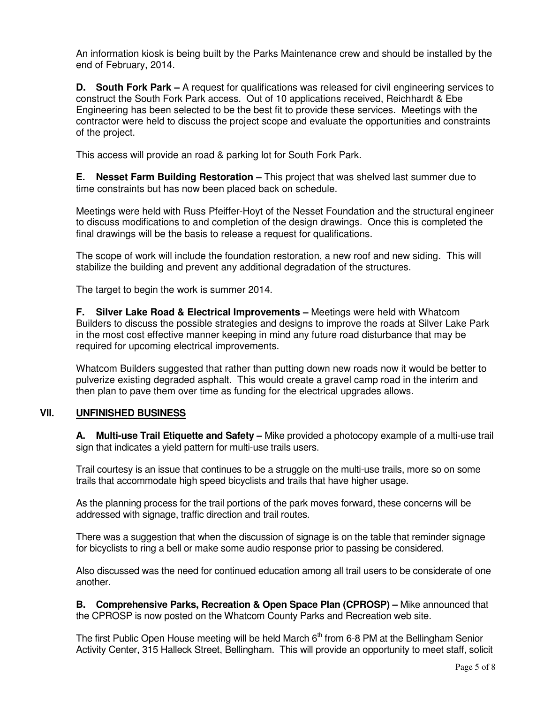An information kiosk is being built by the Parks Maintenance crew and should be installed by the end of February, 2014.

**D. South Fork Park –** A request for qualifications was released for civil engineering services to construct the South Fork Park access. Out of 10 applications received, Reichhardt & Ebe Engineering has been selected to be the best fit to provide these services. Meetings with the contractor were held to discuss the project scope and evaluate the opportunities and constraints of the project.

This access will provide an road & parking lot for South Fork Park.

**E. Nesset Farm Building Restoration –** This project that was shelved last summer due to time constraints but has now been placed back on schedule.

Meetings were held with Russ Pfeiffer-Hoyt of the Nesset Foundation and the structural engineer to discuss modifications to and completion of the design drawings. Once this is completed the final drawings will be the basis to release a request for qualifications.

The scope of work will include the foundation restoration, a new roof and new siding. This will stabilize the building and prevent any additional degradation of the structures.

The target to begin the work is summer 2014.

**F. Silver Lake Road & Electrical Improvements –** Meetings were held with Whatcom Builders to discuss the possible strategies and designs to improve the roads at Silver Lake Park in the most cost effective manner keeping in mind any future road disturbance that may be required for upcoming electrical improvements.

Whatcom Builders suggested that rather than putting down new roads now it would be better to pulverize existing degraded asphalt. This would create a gravel camp road in the interim and then plan to pave them over time as funding for the electrical upgrades allows.

## **VII. UNFINISHED BUSINESS**

**A. Multi-use Trail Etiquette and Safety –** Mike provided a photocopy example of a multi-use trail sign that indicates a yield pattern for multi-use trails users.

Trail courtesy is an issue that continues to be a struggle on the multi-use trails, more so on some trails that accommodate high speed bicyclists and trails that have higher usage.

As the planning process for the trail portions of the park moves forward, these concerns will be addressed with signage, traffic direction and trail routes.

There was a suggestion that when the discussion of signage is on the table that reminder signage for bicyclists to ring a bell or make some audio response prior to passing be considered.

Also discussed was the need for continued education among all trail users to be considerate of one another.

**B. Comprehensive Parks, Recreation & Open Space Plan (CPROSP) –** Mike announced that the CPROSP is now posted on the Whatcom County Parks and Recreation web site.

The first Public Open House meeting will be held March 6<sup>th</sup> from 6-8 PM at the Bellingham Senior Activity Center, 315 Halleck Street, Bellingham. This will provide an opportunity to meet staff, solicit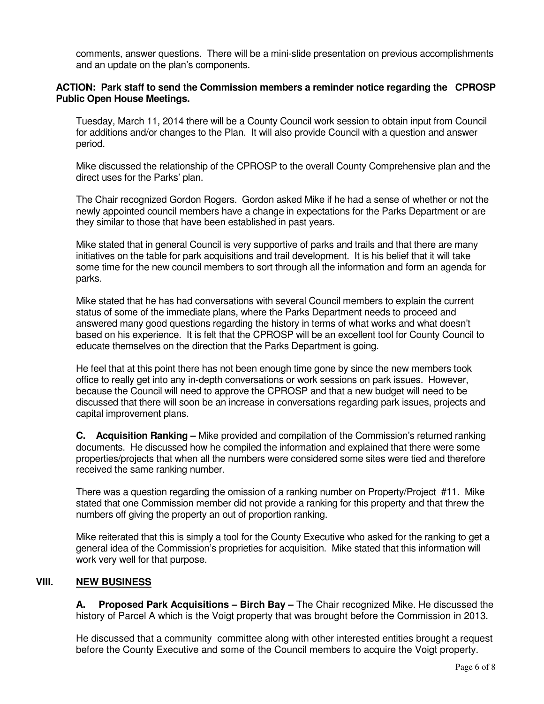comments, answer questions. There will be a mini-slide presentation on previous accomplishments and an update on the plan's components.

#### **ACTION: Park staff to send the Commission members a reminder notice regarding the CPROSP Public Open House Meetings.**

Tuesday, March 11, 2014 there will be a County Council work session to obtain input from Council for additions and/or changes to the Plan. It will also provide Council with a question and answer period.

Mike discussed the relationship of the CPROSP to the overall County Comprehensive plan and the direct uses for the Parks' plan.

The Chair recognized Gordon Rogers. Gordon asked Mike if he had a sense of whether or not the newly appointed council members have a change in expectations for the Parks Department or are they similar to those that have been established in past years.

Mike stated that in general Council is very supportive of parks and trails and that there are many initiatives on the table for park acquisitions and trail development. It is his belief that it will take some time for the new council members to sort through all the information and form an agenda for parks.

Mike stated that he has had conversations with several Council members to explain the current status of some of the immediate plans, where the Parks Department needs to proceed and answered many good questions regarding the history in terms of what works and what doesn't based on his experience. It is felt that the CPROSP will be an excellent tool for County Council to educate themselves on the direction that the Parks Department is going.

He feel that at this point there has not been enough time gone by since the new members took office to really get into any in-depth conversations or work sessions on park issues. However, because the Council will need to approve the CPROSP and that a new budget will need to be discussed that there will soon be an increase in conversations regarding park issues, projects and capital improvement plans.

**C. Acquisition Ranking –** Mike provided and compilation of the Commission's returned ranking documents. He discussed how he compiled the information and explained that there were some properties/projects that when all the numbers were considered some sites were tied and therefore received the same ranking number.

There was a question regarding the omission of a ranking number on Property/Project #11. Mike stated that one Commission member did not provide a ranking for this property and that threw the numbers off giving the property an out of proportion ranking.

Mike reiterated that this is simply a tool for the County Executive who asked for the ranking to get a general idea of the Commission's proprieties for acquisition. Mike stated that this information will work very well for that purpose.

### **VIII. NEW BUSINESS**

**A. Proposed Park Acquisitions – Birch Bay –** The Chair recognized Mike. He discussed the history of Parcel A which is the Voigt property that was brought before the Commission in 2013.

He discussed that a community committee along with other interested entities brought a request before the County Executive and some of the Council members to acquire the Voigt property.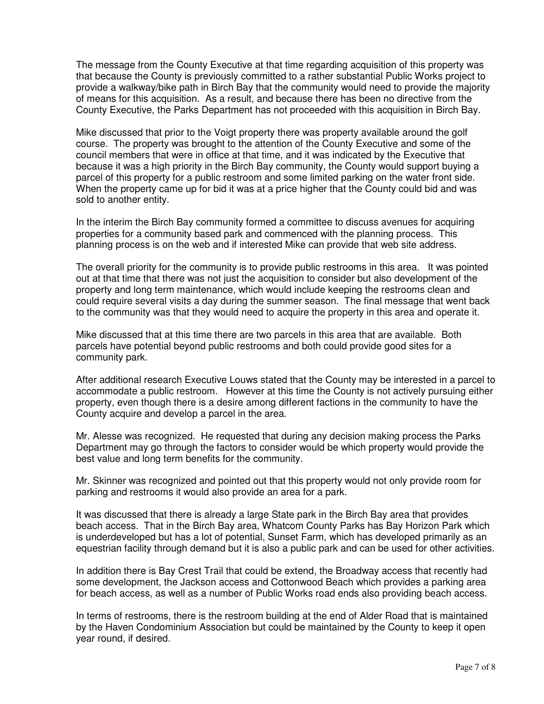The message from the County Executive at that time regarding acquisition of this property was that because the County is previously committed to a rather substantial Public Works project to provide a walkway/bike path in Birch Bay that the community would need to provide the majority of means for this acquisition. As a result, and because there has been no directive from the County Executive, the Parks Department has not proceeded with this acquisition in Birch Bay.

Mike discussed that prior to the Voigt property there was property available around the golf course. The property was brought to the attention of the County Executive and some of the council members that were in office at that time, and it was indicated by the Executive that because it was a high priority in the Birch Bay community, the County would support buying a parcel of this property for a public restroom and some limited parking on the water front side. When the property came up for bid it was at a price higher that the County could bid and was sold to another entity.

In the interim the Birch Bay community formed a committee to discuss avenues for acquiring properties for a community based park and commenced with the planning process. This planning process is on the web and if interested Mike can provide that web site address.

The overall priority for the community is to provide public restrooms in this area. It was pointed out at that time that there was not just the acquisition to consider but also development of the property and long term maintenance, which would include keeping the restrooms clean and could require several visits a day during the summer season. The final message that went back to the community was that they would need to acquire the property in this area and operate it.

Mike discussed that at this time there are two parcels in this area that are available. Both parcels have potential beyond public restrooms and both could provide good sites for a community park.

After additional research Executive Louws stated that the County may be interested in a parcel to accommodate a public restroom. However at this time the County is not actively pursuing either property, even though there is a desire among different factions in the community to have the County acquire and develop a parcel in the area.

Mr. Alesse was recognized. He requested that during any decision making process the Parks Department may go through the factors to consider would be which property would provide the best value and long term benefits for the community.

Mr. Skinner was recognized and pointed out that this property would not only provide room for parking and restrooms it would also provide an area for a park.

It was discussed that there is already a large State park in the Birch Bay area that provides beach access. That in the Birch Bay area, Whatcom County Parks has Bay Horizon Park which is underdeveloped but has a lot of potential, Sunset Farm, which has developed primarily as an equestrian facility through demand but it is also a public park and can be used for other activities.

In addition there is Bay Crest Trail that could be extend, the Broadway access that recently had some development, the Jackson access and Cottonwood Beach which provides a parking area for beach access, as well as a number of Public Works road ends also providing beach access.

In terms of restrooms, there is the restroom building at the end of Alder Road that is maintained by the Haven Condominium Association but could be maintained by the County to keep it open year round, if desired.